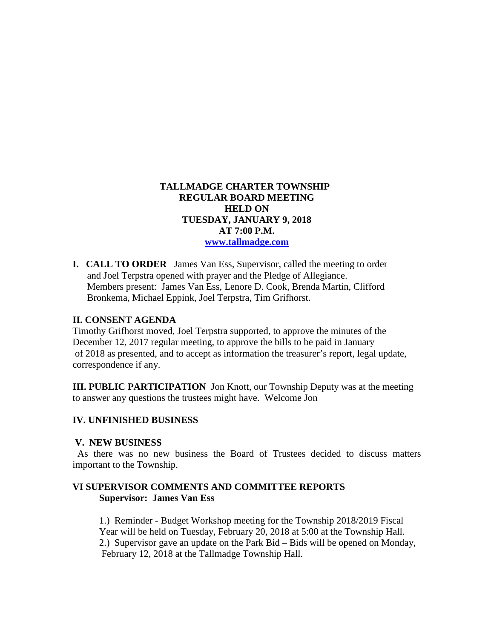# **TALLMADGE CHARTER TOWNSHIP REGULAR BOARD MEETING HELD ON TUESDAY, JANUARY 9, 2018 AT 7:00 P.M. [www.tallmadge.com](http://www.tallmadge.com/)**

**I. CALL TO ORDER** James Van Ess, Supervisor, called the meeting to order and Joel Terpstra opened with prayer and the Pledge of Allegiance. Members present: James Van Ess, Lenore D. Cook, Brenda Martin, Clifford Bronkema, Michael Eppink, Joel Terpstra, Tim Grifhorst.

### **II. CONSENT AGENDA**

Timothy Grifhorst moved, Joel Terpstra supported, to approve the minutes of the December 12, 2017 regular meeting, to approve the bills to be paid in January of 2018 as presented, and to accept as information the treasurer's report, legal update, correspondence if any.

**III. PUBLIC PARTICIPATION** Jon Knott, our Township Deputy was at the meeting to answer any questions the trustees might have. Welcome Jon

### **IV. UNFINISHED BUSINESS**

#### **V. NEW BUSINESS**

As there was no new business the Board of Trustees decided to discuss matters important to the Township.

### **VI SUPERVISOR COMMENTS AND COMMITTEE REPORTS Supervisor: James Van Ess**

 1.) Reminder - Budget Workshop meeting for the Township 2018/2019 Fiscal Year will be held on Tuesday, February 20, 2018 at 5:00 at the Township Hall. 2.) Supervisor gave an update on the Park Bid – Bids will be opened on Monday, February 12, 2018 at the Tallmadge Township Hall.